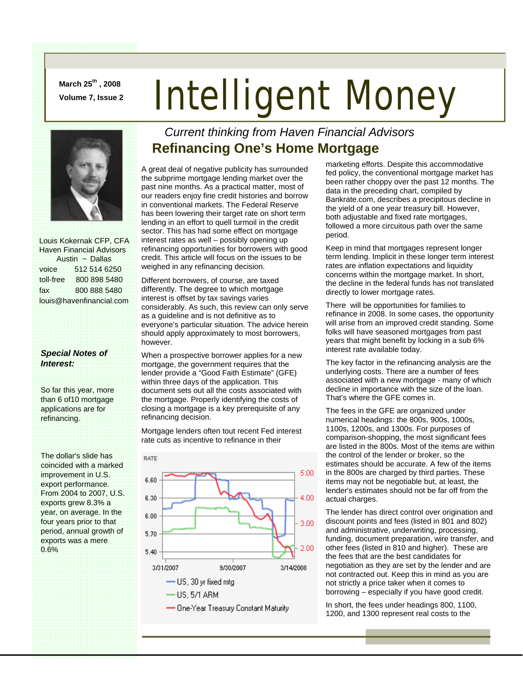**March 25th , 2008** 

## **March 25°°, 2008 Intelligent Money**



 Louis Kokernak CFP, CFA Haven Financial Advisors Austin ~ Dallas voice 512 514 6250 toll-free 800 898 5480 fax 800 888 5480 louis@havenfinancial.com

## *Special Notes of Interest:*

So far this year, more than 6 of10 mortgage applications are for refinancing.

The dollar's slide has coincided with a marked improvement in U.S. export performance. From 2004 to 2007, U.S. exports grew 8.3% a year, on average. In the four years prior to that period, annual growth of exports was a mere 0.6%

## *Current thinking from Haven Financial Advisors*  **Refinancing One's Home Mortgage**

A great deal of negative publicity has surrounded the subprime mortgage lending market over the past nine months. As a practical matter, most of our readers enjoy fine credit histories and borrow in conventional markets. The Federal Reserve has been lowering their target rate on short term lending in an effort to quell turmoil in the credit sector. This has had some effect on mortgage interest rates as well – possibly opening up refinancing opportunities for borrowers with good credit. This article will focus on the issues to be weighed in any refinancing decision.

Different borrowers, of course, are taxed differently. The degree to which mortgage interest is offset by tax savings varies considerably. As such, this review can only serve as a guideline and is not definitive as to everyone's particular situation. The advice herein should apply approximately to most borrowers, however.

When a prospective borrower applies for a new mortgage, the government requires that the lender provide a "Good Faith Estimate" (GFE) within three days of the application. This document sets out all the costs associated with the mortgage. Properly identifying the costs of closing a mortgage is a key prerequisite of any refinancing decision.

Mortgage lenders often tout recent Fed interest rate cuts as incentive to refinance in their



marketing efforts. Despite this accommodative fed policy, the conventional mortgage market has been rather choppy over the past 12 months. The data in the preceding chart, compiled by Bankrate.com, describes a precipitous decline in the yield of a one year treasury bill. However, both adjustable and fixed rate mortgages, followed a more circuitous path over the same period.

Keep in mind that mortgages represent longer term lending. Implicit in these longer term interest rates are inflation expectations and liquidity concerns within the mortgage market. In short, the decline in the federal funds has not translated directly to lower mortgage rates.

There will be opportunities for families to refinance in 2008. In some cases, the opportunity will arise from an improved credit standing. Some folks will have seasoned mortgages from past years that might benefit by locking in a sub 6% interest rate available today.

The key factor in the refinancing analysis are the underlying costs. There are a number of fees associated with a new mortgage - many of which decline in importance with the size of the loan. That's where the GFE comes in.

The fees in the GFE are organized under numerical headings: the 800s, 900s, 1000s, 1100s, 1200s, and 1300s. For purposes of comparison-shopping, the most significant fees are listed in the 800s. Most of the items are within the control of the lender or broker, so the estimates should be accurate. A few of the items in the 800s are charged by third parties. These items may not be negotiable but, at least, the lender's estimates should not be far off from the actual charges.

The lender has direct control over origination and discount points and fees (listed in 801 and 802) and administrative, underwriting, processing, funding, document preparation, wire transfer, and other fees (listed in 810 and higher). These are the fees that are the best candidates for negotiation as they are set by the lender and are not contracted out. Keep this in mind as you are not strictly a price taker when it comes to borrowing – especially if you have good credit.

In short, the fees under headings 800, 1100, 1200, and 1300 represent real costs to the